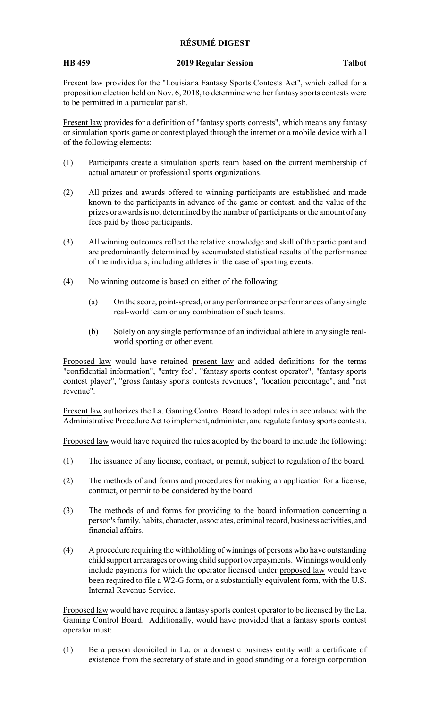## **RÉSUMÉ DIGEST**

## **HB 459 2019 Regular Session Talbot**

Present law provides for the "Louisiana Fantasy Sports Contests Act", which called for a proposition election held on Nov. 6, 2018, to determine whether fantasy sports contests were to be permitted in a particular parish.

Present law provides for a definition of "fantasy sports contests", which means any fantasy or simulation sports game or contest played through the internet or a mobile device with all of the following elements:

- (1) Participants create a simulation sports team based on the current membership of actual amateur or professional sports organizations.
- (2) All prizes and awards offered to winning participants are established and made known to the participants in advance of the game or contest, and the value of the prizes or awards is not determined by the number of participants or the amount of any fees paid by those participants.
- (3) All winning outcomes reflect the relative knowledge and skill of the participant and are predominantly determined by accumulated statistical results of the performance of the individuals, including athletes in the case of sporting events.
- (4) No winning outcome is based on either of the following:
	- (a) On the score, point-spread, or any performance or performances of any single real-world team or any combination of such teams.
	- (b) Solely on any single performance of an individual athlete in any single realworld sporting or other event.

Proposed law would have retained present law and added definitions for the terms "confidential information", "entry fee", "fantasy sports contest operator", "fantasy sports contest player", "gross fantasy sports contests revenues", "location percentage", and "net revenue".

Present law authorizes the La. Gaming Control Board to adopt rules in accordance with the Administrative Procedure Act to implement, administer, and regulate fantasysports contests.

Proposed law would have required the rules adopted by the board to include the following:

- (1) The issuance of any license, contract, or permit, subject to regulation of the board.
- (2) The methods of and forms and procedures for making an application for a license, contract, or permit to be considered by the board.
- (3) The methods of and forms for providing to the board information concerning a person's family, habits, character, associates, criminal record, business activities, and financial affairs.
- (4) A procedure requiring the withholding of winnings of persons who have outstanding child support arrearages or owing child support overpayments. Winnings would only include payments for which the operator licensed under proposed law would have been required to file a W2-G form, or a substantially equivalent form, with the U.S. Internal Revenue Service.

Proposed law would have required a fantasy sports contest operator to be licensed by the La. Gaming Control Board. Additionally, would have provided that a fantasy sports contest operator must:

(1) Be a person domiciled in La. or a domestic business entity with a certificate of existence from the secretary of state and in good standing or a foreign corporation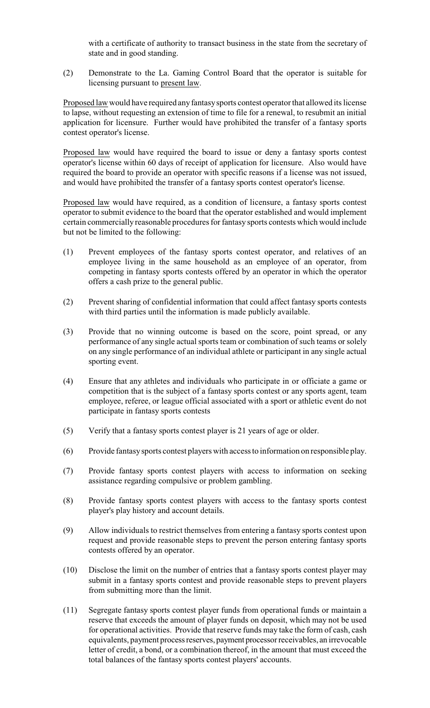with a certificate of authority to transact business in the state from the secretary of state and in good standing.

(2) Demonstrate to the La. Gaming Control Board that the operator is suitable for licensing pursuant to present law.

Proposed law would have required any fantasy sports contest operator that allowed its license to lapse, without requesting an extension of time to file for a renewal, to resubmit an initial application for licensure. Further would have prohibited the transfer of a fantasy sports contest operator's license.

Proposed law would have required the board to issue or deny a fantasy sports contest operator's license within 60 days of receipt of application for licensure. Also would have required the board to provide an operator with specific reasons if a license was not issued, and would have prohibited the transfer of a fantasy sports contest operator's license.

Proposed law would have required, as a condition of licensure, a fantasy sports contest operator to submit evidence to the board that the operator established and would implement certain commercially reasonable procedures for fantasy sports contests which would include but not be limited to the following:

- (1) Prevent employees of the fantasy sports contest operator, and relatives of an employee living in the same household as an employee of an operator, from competing in fantasy sports contests offered by an operator in which the operator offers a cash prize to the general public.
- (2) Prevent sharing of confidential information that could affect fantasy sports contests with third parties until the information is made publicly available.
- (3) Provide that no winning outcome is based on the score, point spread, or any performance of any single actual sports team or combination of such teams or solely on any single performance of an individual athlete or participant in any single actual sporting event.
- (4) Ensure that any athletes and individuals who participate in or officiate a game or competition that is the subject of a fantasy sports contest or any sports agent, team employee, referee, or league official associated with a sport or athletic event do not participate in fantasy sports contests
- (5) Verify that a fantasy sports contest player is 21 years of age or older.
- (6) Provide fantasysports contest players with access to information on responsible play.
- (7) Provide fantasy sports contest players with access to information on seeking assistance regarding compulsive or problem gambling.
- (8) Provide fantasy sports contest players with access to the fantasy sports contest player's play history and account details.
- (9) Allow individuals to restrict themselves from entering a fantasy sports contest upon request and provide reasonable steps to prevent the person entering fantasy sports contests offered by an operator.
- (10) Disclose the limit on the number of entries that a fantasy sports contest player may submit in a fantasy sports contest and provide reasonable steps to prevent players from submitting more than the limit.
- (11) Segregate fantasy sports contest player funds from operational funds or maintain a reserve that exceeds the amount of player funds on deposit, which may not be used for operational activities. Provide that reserve funds may take the form of cash, cash equivalents, payment process reserves, payment processor receivables, an irrevocable letter of credit, a bond, or a combination thereof, in the amount that must exceed the total balances of the fantasy sports contest players' accounts.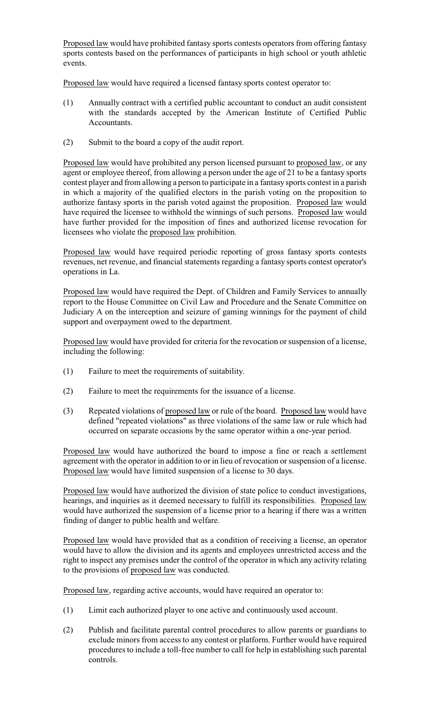Proposed law would have prohibited fantasy sports contests operators from offering fantasy sports contests based on the performances of participants in high school or youth athletic events.

Proposed law would have required a licensed fantasy sports contest operator to:

- (1) Annually contract with a certified public accountant to conduct an audit consistent with the standards accepted by the American Institute of Certified Public Accountants.
- (2) Submit to the board a copy of the audit report.

Proposed law would have prohibited any person licensed pursuant to proposed law, or any agent or employee thereof, from allowing a person under the age of 21 to be a fantasy sports contest player and from allowing a person to participate in a fantasy sports contest in a parish in which a majority of the qualified electors in the parish voting on the proposition to authorize fantasy sports in the parish voted against the proposition. Proposed law would have required the licensee to withhold the winnings of such persons. Proposed law would have further provided for the imposition of fines and authorized license revocation for licensees who violate the proposed law prohibition.

Proposed law would have required periodic reporting of gross fantasy sports contests revenues, net revenue, and financial statements regarding a fantasy sports contest operator's operations in La.

Proposed law would have required the Dept. of Children and Family Services to annually report to the House Committee on Civil Law and Procedure and the Senate Committee on Judiciary A on the interception and seizure of gaming winnings for the payment of child support and overpayment owed to the department.

Proposed law would have provided for criteria for the revocation or suspension of a license, including the following:

- (1) Failure to meet the requirements of suitability.
- (2) Failure to meet the requirements for the issuance of a license.
- (3) Repeated violations of proposed law or rule of the board. Proposed law would have defined "repeated violations" as three violations of the same law or rule which had occurred on separate occasions by the same operator within a one-year period.

Proposed law would have authorized the board to impose a fine or reach a settlement agreement with the operator in addition to or in lieu of revocation or suspension of a license. Proposed law would have limited suspension of a license to 30 days.

Proposed law would have authorized the division of state police to conduct investigations, hearings, and inquiries as it deemed necessary to fulfill its responsibilities. Proposed law would have authorized the suspension of a license prior to a hearing if there was a written finding of danger to public health and welfare.

Proposed law would have provided that as a condition of receiving a license, an operator would have to allow the division and its agents and employees unrestricted access and the right to inspect any premises under the control of the operator in which any activity relating to the provisions of proposed law was conducted.

Proposed law, regarding active accounts, would have required an operator to:

- (1) Limit each authorized player to one active and continuously used account.
- (2) Publish and facilitate parental control procedures to allow parents or guardians to exclude minors from access to any contest or platform. Further would have required procedures to include a toll-free number to call for help in establishing such parental controls.